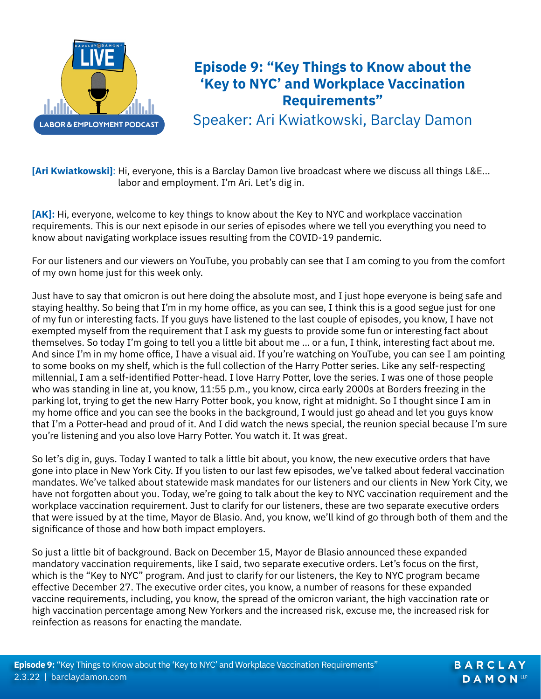

## **Episode 9: "Key Things to Know about the 'Key to NYC' and Workplace Vaccination Requirements"**

Speaker: Ari Kwiatkowski, Barclay Damon

**[Ari Kwiatkowski]**: Hi, everyone, this is a Barclay Damon live broadcast where we discuss all things L&E... labor and employment. I'm Ari. Let's dig in.

**[AK]:** Hi, everyone, welcome to key things to know about the Key to NYC and workplace vaccination requirements. This is our next episode in our series of episodes where we tell you everything you need to know about navigating workplace issues resulting from the COVID-19 pandemic.

For our listeners and our viewers on YouTube, you probably can see that I am coming to you from the comfort of my own home just for this week only.

Just have to say that omicron is out here doing the absolute most, and I just hope everyone is being safe and staying healthy. So being that I'm in my home office, as you can see, I think this is a good segue just for one of my fun or interesting facts. If you guys have listened to the last couple of episodes, you know, I have not exempted myself from the requirement that I ask my guests to provide some fun or interesting fact about themselves. So today I'm going to tell you a little bit about me … or a fun, I think, interesting fact about me. And since I'm in my home office, I have a visual aid. If you're watching on YouTube, you can see I am pointing to some books on my shelf, which is the full collection of the Harry Potter series. Like any self-respecting millennial, I am a self-identified Potter-head. I love Harry Potter, love the series. I was one of those people who was standing in line at, you know, 11:55 p.m., you know, circa early 2000s at Borders freezing in the parking lot, trying to get the new Harry Potter book, you know, right at midnight. So I thought since I am in my home office and you can see the books in the background, I would just go ahead and let you guys know that I'm a Potter-head and proud of it. And I did watch the news special, the reunion special because I'm sure you're listening and you also love Harry Potter. You watch it. It was great.

So let's dig in, guys. Today I wanted to talk a little bit about, you know, the new executive orders that have gone into place in New York City. If you listen to our last few episodes, we've talked about federal vaccination mandates. We've talked about statewide mask mandates for our listeners and our clients in New York City, we have not forgotten about you. Today, we're going to talk about the key to NYC vaccination requirement and the workplace vaccination requirement. Just to clarify for our listeners, these are two separate executive orders that were issued by at the time, Mayor de Blasio. And, you know, we'll kind of go through both of them and the significance of those and how both impact employers.

So just a little bit of background. Back on December 15, Mayor de Blasio announced these expanded mandatory vaccination requirements, like I said, two separate executive orders. Let's focus on the first, which is the "Key to NYC" program. And just to clarify for our listeners, the Key to NYC program became effective December 27. The executive order cites, you know, a number of reasons for these expanded vaccine requirements, including, you know, the spread of the omicron variant, the high vaccination rate or high vaccination percentage among New Yorkers and the increased risk, excuse me, the increased risk for reinfection as reasons for enacting the mandate.

BARCLAY **DAMON**LLP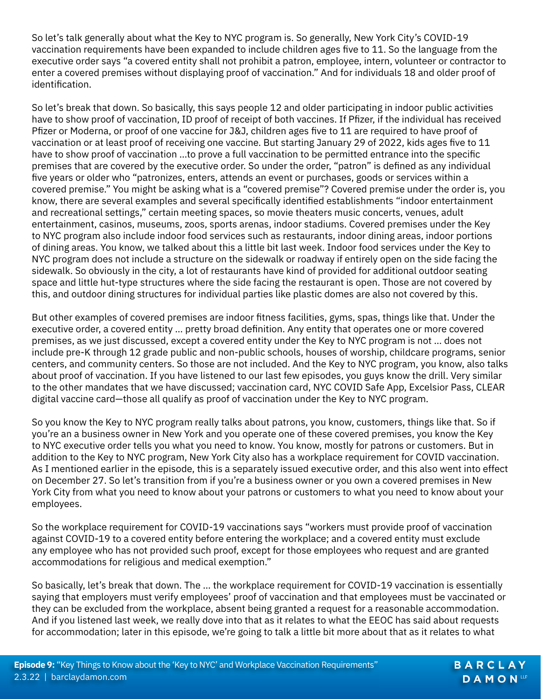So let's talk generally about what the Key to NYC program is. So generally, New York City's COVID-19 vaccination requirements have been expanded to include children ages five to 11. So the language from the executive order says "a covered entity shall not prohibit a patron, employee, intern, volunteer or contractor to enter a covered premises without displaying proof of vaccination." And for individuals 18 and older proof of identification.

So let's break that down. So basically, this says people 12 and older participating in indoor public activities have to show proof of vaccination, ID proof of receipt of both vaccines. If Pfizer, if the individual has received Pfizer or Moderna, or proof of one vaccine for J&J, children ages five to 11 are required to have proof of vaccination or at least proof of receiving one vaccine. But starting January 29 of 2022, kids ages five to 11 have to show proof of vaccination …to prove a full vaccination to be permitted entrance into the specific premises that are covered by the executive order. So under the order, "patron" is defined as any individual five years or older who "patronizes, enters, attends an event or purchases, goods or services within a covered premise." You might be asking what is a "covered premise"? Covered premise under the order is, you know, there are several examples and several specifically identified establishments "indoor entertainment and recreational settings," certain meeting spaces, so movie theaters music concerts, venues, adult entertainment, casinos, museums, zoos, sports arenas, indoor stadiums. Covered premises under the Key to NYC program also include indoor food services such as restaurants, indoor dining areas, indoor portions of dining areas. You know, we talked about this a little bit last week. Indoor food services under the Key to NYC program does not include a structure on the sidewalk or roadway if entirely open on the side facing the sidewalk. So obviously in the city, a lot of restaurants have kind of provided for additional outdoor seating space and little hut-type structures where the side facing the restaurant is open. Those are not covered by this, and outdoor dining structures for individual parties like plastic domes are also not covered by this.

But other examples of covered premises are indoor fitness facilities, gyms, spas, things like that. Under the executive order, a covered entity … pretty broad definition. Any entity that operates one or more covered premises, as we just discussed, except a covered entity under the Key to NYC program is not … does not include pre-K through 12 grade public and non-public schools, houses of worship, childcare programs, senior centers, and community centers. So those are not included. And the Key to NYC program, you know, also talks about proof of vaccination. If you have listened to our last few episodes, you guys know the drill. Very similar to the other mandates that we have discussed; vaccination card, NYC COVID Safe App, Excelsior Pass, CLEAR digital vaccine card—those all qualify as proof of vaccination under the Key to NYC program.

So you know the Key to NYC program really talks about patrons, you know, customers, things like that. So if you're an a business owner in New York and you operate one of these covered premises, you know the Key to NYC executive order tells you what you need to know. You know, mostly for patrons or customers. But in addition to the Key to NYC program, New York City also has a workplace requirement for COVID vaccination. As I mentioned earlier in the episode, this is a separately issued executive order, and this also went into effect on December 27. So let's transition from if you're a business owner or you own a covered premises in New York City from what you need to know about your patrons or customers to what you need to know about your employees.

So the workplace requirement for COVID-19 vaccinations says "workers must provide proof of vaccination against COVID-19 to a covered entity before entering the workplace; and a covered entity must exclude any employee who has not provided such proof, except for those employees who request and are granted accommodations for religious and medical exemption."

So basically, let's break that down. The … the workplace requirement for COVID-19 vaccination is essentially saying that employers must verify employees' proof of vaccination and that employees must be vaccinated or they can be excluded from the workplace, absent being granted a request for a reasonable accommodation. And if you listened last week, we really dove into that as it relates to what the EEOC has said about requests for accommodation; later in this episode, we're going to talk a little bit more about that as it relates to what

> BARCLAY **DAMON**LLP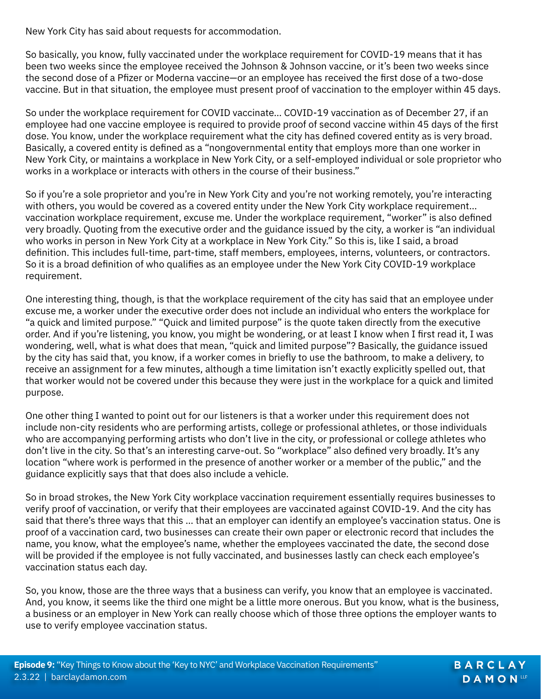New York City has said about requests for accommodation.

So basically, you know, fully vaccinated under the workplace requirement for COVID-19 means that it has been two weeks since the employee received the Johnson & Johnson vaccine, or it's been two weeks since the second dose of a Pfizer or Moderna vaccine—or an employee has received the first dose of a two-dose vaccine. But in that situation, the employee must present proof of vaccination to the employer within 45 days.

So under the workplace requirement for COVID vaccinate… COVID-19 vaccination as of December 27, if an employee had one vaccine employee is required to provide proof of second vaccine within 45 days of the first dose. You know, under the workplace requirement what the city has defined covered entity as is very broad. Basically, a covered entity is defined as a "nongovernmental entity that employs more than one worker in New York City, or maintains a workplace in New York City, or a self-employed individual or sole proprietor who works in a workplace or interacts with others in the course of their business."

So if you're a sole proprietor and you're in New York City and you're not working remotely, you're interacting with others, you would be covered as a covered entity under the New York City workplace requirement… vaccination workplace requirement, excuse me. Under the workplace requirement, "worker" is also defined very broadly. Quoting from the executive order and the guidance issued by the city, a worker is "an individual who works in person in New York City at a workplace in New York City." So this is, like I said, a broad definition. This includes full-time, part-time, staff members, employees, interns, volunteers, or contractors. So it is a broad definition of who qualifies as an employee under the New York City COVID-19 workplace requirement.

One interesting thing, though, is that the workplace requirement of the city has said that an employee under excuse me, a worker under the executive order does not include an individual who enters the workplace for "a quick and limited purpose." "Quick and limited purpose" is the quote taken directly from the executive order. And if you're listening, you know, you might be wondering, or at least I know when I first read it, I was wondering, well, what is what does that mean, "quick and limited purpose"? Basically, the guidance issued by the city has said that, you know, if a worker comes in briefly to use the bathroom, to make a delivery, to receive an assignment for a few minutes, although a time limitation isn't exactly explicitly spelled out, that that worker would not be covered under this because they were just in the workplace for a quick and limited purpose.

One other thing I wanted to point out for our listeners is that a worker under this requirement does not include non-city residents who are performing artists, college or professional athletes, or those individuals who are accompanying performing artists who don't live in the city, or professional or college athletes who don't live in the city. So that's an interesting carve-out. So "workplace" also defined very broadly. It's any location "where work is performed in the presence of another worker or a member of the public," and the guidance explicitly says that that does also include a vehicle.

So in broad strokes, the New York City workplace vaccination requirement essentially requires businesses to verify proof of vaccination, or verify that their employees are vaccinated against COVID-19. And the city has said that there's three ways that this … that an employer can identify an employee's vaccination status. One is proof of a vaccination card, two businesses can create their own paper or electronic record that includes the name, you know, what the employee's name, whether the employees vaccinated the date, the second dose will be provided if the employee is not fully vaccinated, and businesses lastly can check each employee's vaccination status each day.

So, you know, those are the three ways that a business can verify, you know that an employee is vaccinated. And, you know, it seems like the third one might be a little more onerous. But you know, what is the business, a business or an employer in New York can really choose which of those three options the employer wants to use to verify employee vaccination status.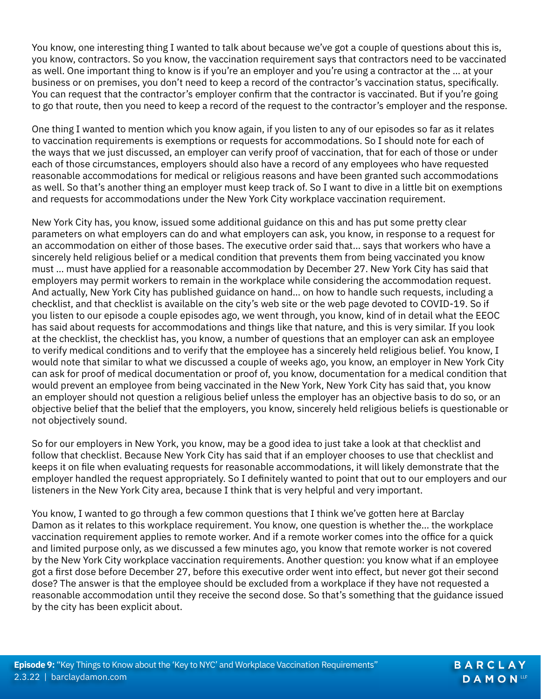You know, one interesting thing I wanted to talk about because we've got a couple of questions about this is, you know, contractors. So you know, the vaccination requirement says that contractors need to be vaccinated as well. One important thing to know is if you're an employer and you're using a contractor at the … at your business or on premises, you don't need to keep a record of the contractor's vaccination status, specifically. You can request that the contractor's employer confirm that the contractor is vaccinated. But if you're going to go that route, then you need to keep a record of the request to the contractor's employer and the response.

One thing I wanted to mention which you know again, if you listen to any of our episodes so far as it relates to vaccination requirements is exemptions or requests for accommodations. So I should note for each of the ways that we just discussed, an employer can verify proof of vaccination, that for each of those or under each of those circumstances, employers should also have a record of any employees who have requested reasonable accommodations for medical or religious reasons and have been granted such accommodations as well. So that's another thing an employer must keep track of. So I want to dive in a little bit on exemptions and requests for accommodations under the New York City workplace vaccination requirement.

New York City has, you know, issued some additional guidance on this and has put some pretty clear parameters on what employers can do and what employers can ask, you know, in response to a request for an accommodation on either of those bases. The executive order said that… says that workers who have a sincerely held religious belief or a medical condition that prevents them from being vaccinated you know must … must have applied for a reasonable accommodation by December 27. New York City has said that employers may permit workers to remain in the workplace while considering the accommodation request. And actually, New York City has published guidance on hand… on how to handle such requests, including a checklist, and that checklist is available on the city's web site or the web page devoted to COVID-19. So if you listen to our episode a couple episodes ago, we went through, you know, kind of in detail what the EEOC has said about requests for accommodations and things like that nature, and this is very similar. If you look at the checklist, the checklist has, you know, a number of questions that an employer can ask an employee to verify medical conditions and to verify that the employee has a sincerely held religious belief. You know, I would note that similar to what we discussed a couple of weeks ago, you know, an employer in New York City can ask for proof of medical documentation or proof of, you know, documentation for a medical condition that would prevent an employee from being vaccinated in the New York, New York City has said that, you know an employer should not question a religious belief unless the employer has an objective basis to do so, or an objective belief that the belief that the employers, you know, sincerely held religious beliefs is questionable or not objectively sound.

So for our employers in New York, you know, may be a good idea to just take a look at that checklist and follow that checklist. Because New York City has said that if an employer chooses to use that checklist and keeps it on file when evaluating requests for reasonable accommodations, it will likely demonstrate that the employer handled the request appropriately. So I definitely wanted to point that out to our employers and our listeners in the New York City area, because I think that is very helpful and very important.

You know, I wanted to go through a few common questions that I think we've gotten here at Barclay Damon as it relates to this workplace requirement. You know, one question is whether the… the workplace vaccination requirement applies to remote worker. And if a remote worker comes into the office for a quick and limited purpose only, as we discussed a few minutes ago, you know that remote worker is not covered by the New York City workplace vaccination requirements. Another question: you know what if an employee got a first dose before December 27, before this executive order went into effect, but never got their second dose? The answer is that the employee should be excluded from a workplace if they have not requested a reasonable accommodation until they receive the second dose. So that's something that the guidance issued by the city has been explicit about.

BARCLAY **DAMON**LLP